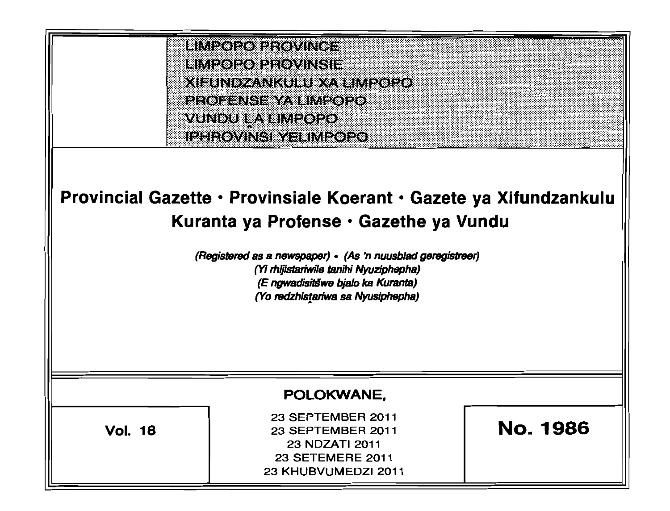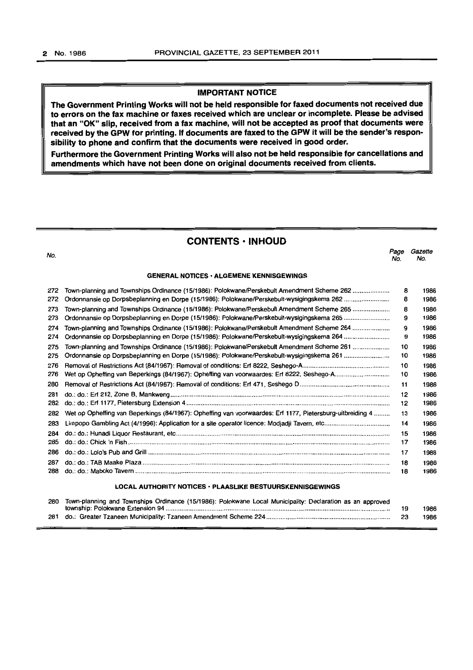## IMPORTANT NOTICE

The Government Printing Works will not be held responsible for faxed documents not received due to errors on the fax machine or faxes received which are unclear or incomplete. Please be advised that an "OK" slip, received from a fax machine, will not be accepted as proof that documents were received by the GPW for printing. If documents are faxed to the GPW It will be the sender's responsibility to phone and confirm that the documents were received in good order.

Furthermore the Government Printing Works will also not be held responsible for cancellations and amendments which have not been done on original documents received from clients.

## CONTENTS • INHOUD

| No.                                                              |                                                                                                           | Page<br>No. | Gazette<br>No. |  |  |
|------------------------------------------------------------------|-----------------------------------------------------------------------------------------------------------|-------------|----------------|--|--|
| <b>GENERAL NOTICES · ALGEMENE KENNISGEWINGS</b>                  |                                                                                                           |             |                |  |  |
| 272                                                              | Town-planning and Townships Ordinance (15/1986): Polokwane/Perskebult Amendment Scheme 262                | 8           | 1986           |  |  |
| 272                                                              | Ordonnansie op Dorpsbeplanning en Dorpe (15/1986): Polokwane/Perskebult-wysigingskema 262                 | 8           | 1986           |  |  |
| 273                                                              | Town-planning and Townships Ordinance (15/1986): Polokwane/Perskebult Amendment Scheme 265                | 8           | 1986           |  |  |
| 273                                                              |                                                                                                           | 9           | 1986           |  |  |
| 274                                                              | Town-planning and Townships Ordinance (15/1986): Polokwane/Perskebult Amendment Scheme 264                | 9           | 1986           |  |  |
| 274                                                              |                                                                                                           | 9           | 1986           |  |  |
| 275                                                              | Town-planning and Townships Ordinance (15/1986): Polokwane/Perskebult Amendment Scheme 261                | 10          | 1986           |  |  |
| 275                                                              |                                                                                                           | 10          | 1986           |  |  |
| 276                                                              |                                                                                                           | 10          | 1986           |  |  |
| 276                                                              |                                                                                                           | 10          | 1986           |  |  |
| 280                                                              |                                                                                                           | 11          | 1986           |  |  |
| 281                                                              |                                                                                                           | 12          | 1986           |  |  |
| 282                                                              |                                                                                                           | 12          | 1986           |  |  |
| 282                                                              | Wet op Opheffing van Beperkings (84/1967): Opheffing van voorwaardes: Erf 1177, Pietersburg-uitbreiding 4 | 13          | 1986           |  |  |
| 283                                                              |                                                                                                           | 14          | 1986           |  |  |
| 284                                                              |                                                                                                           | 15          | 1986           |  |  |
| 285                                                              |                                                                                                           | 17          | 1986           |  |  |
| 286                                                              |                                                                                                           | 17          | 1986           |  |  |
| 287                                                              |                                                                                                           | 18          | 1986           |  |  |
| 288                                                              |                                                                                                           | 18          | 1986           |  |  |
| <b>LOCAL AUTHORITY NOTICES · PLAASLIKE BESTUURSKENNISGEWINGS</b> |                                                                                                           |             |                |  |  |
| 280                                                              | Town-planning and Townships Ordinance (15/1986): Polokwane Local Municipality: Declaration as an approved | 19          | 1986           |  |  |

281 do.: Greater Tzaneen Municipality: Tzaneen Amendment Scheme 224...................................................................... 23 1986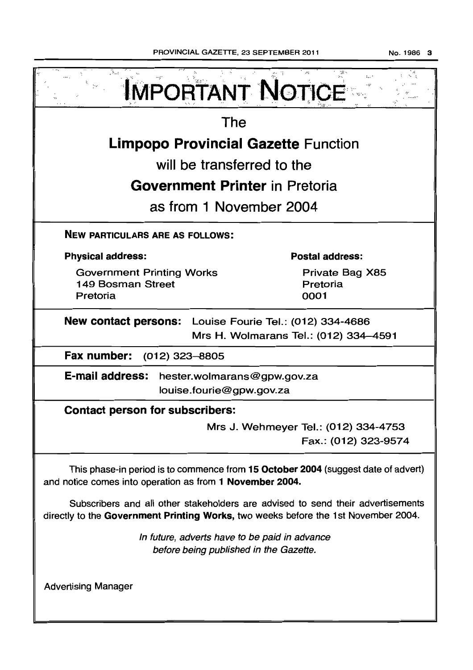|                                                                                                                                                                       | <b>IMPORTANT NOTICE</b>                                      |  |  |  |  |
|-----------------------------------------------------------------------------------------------------------------------------------------------------------------------|--------------------------------------------------------------|--|--|--|--|
| The                                                                                                                                                                   |                                                              |  |  |  |  |
| <b>Limpopo Provincial Gazette Function</b>                                                                                                                            |                                                              |  |  |  |  |
| will be transferred to the                                                                                                                                            |                                                              |  |  |  |  |
| <b>Government Printer</b> in Pretoria                                                                                                                                 |                                                              |  |  |  |  |
| as from 1 November 2004                                                                                                                                               |                                                              |  |  |  |  |
| <b>NEW PARTICULARS ARE AS FOLLOWS:</b>                                                                                                                                |                                                              |  |  |  |  |
| <b>Physical address:</b>                                                                                                                                              | <b>Postal address:</b>                                       |  |  |  |  |
| <b>Government Printing Works</b><br>149 Bosman Street<br>Pretoria                                                                                                     | Private Bag X85<br>Pretoria<br>0001                          |  |  |  |  |
| New contact persons: Louise Fourie Tel.: (012) 334-4686<br>Mrs H. Wolmarans Tel.: (012) 334-4591                                                                      |                                                              |  |  |  |  |
| Fax number:<br>(012) 323–8805                                                                                                                                         |                                                              |  |  |  |  |
| <b>E-mail address:</b><br>hester.wolmarans@gpw.gov.za<br>louise.fourie@gpw.gov.za                                                                                     |                                                              |  |  |  |  |
| <b>Contact person for subscribers:</b>                                                                                                                                |                                                              |  |  |  |  |
|                                                                                                                                                                       | Mrs J. Wehmeyer Tel.: (012) 334-4753<br>Fax.: (012) 323-9574 |  |  |  |  |
| This phase-in period is to commence from 15 October 2004 (suggest date of advert)<br>and notice comes into operation as from 1 November 2004.                         |                                                              |  |  |  |  |
| Subscribers and all other stakeholders are advised to send their advertisements<br>directly to the Government Printing Works, two weeks before the 1st November 2004. |                                                              |  |  |  |  |
| In future, adverts have to be paid in advance<br>before being published in the Gazette.                                                                               |                                                              |  |  |  |  |
| <b>Advertising Manager</b>                                                                                                                                            |                                                              |  |  |  |  |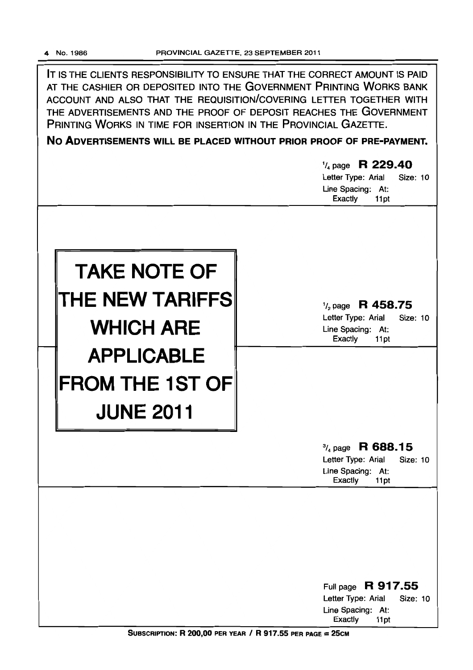IT IS THE CLIENTS RESPONSIBILITY TO ENSURE THAT THE CORRECT AMOUNT IS PAID AT THE CASHIER OR DEPOSITED INTO THE GOVERNMENT PRINTING WORKS BANK ACCOUNT AND ALSO THAT THE REQUISITION/COVERING LETTER TOGETHER WITH THE ADVERTISEMENTS AND THE PROOF OF DEPOSIT REACHES THE GOVERNMENT PRINTING WORKS IN TIME FOR INSERTION IN THE PROVINCIAL GAZETTE.

**No ADVERTISEMENTS WILL BE PLACED WITHOUT PRIOR PROOF OF PRE-PAYMENT.** 

|                                                                                     | $\frac{1}{4}$ page R 229.40<br>Letter Type: Arial<br>Size: 10<br>Line Spacing: At:<br><b>Exactly</b><br>11pt        |
|-------------------------------------------------------------------------------------|---------------------------------------------------------------------------------------------------------------------|
| <b>TAKE NOTE OF</b><br>THE NEW TARIFFS                                              | $\frac{1}{2}$ page R 458.75<br>Letter Type: Arial<br><b>Size: 10</b>                                                |
| <b>WHICH ARE</b><br><b>APPLICABLE</b><br><b>FROM THE 1ST OF</b><br><b>JUNE 2011</b> | Line Spacing: At:<br>Exactly<br>11pt                                                                                |
|                                                                                     | $\frac{3}{4}$ page R 688.15<br>Letter Type: Arial<br><b>Size: 10</b><br>Line Spacing: At:<br><b>Exactly</b><br>11pt |
|                                                                                     |                                                                                                                     |
|                                                                                     | Full page R 917.55<br>Letter Type: Arial<br><b>Size: 10</b><br>Line Spacing: At:<br>Exactly<br>11pt                 |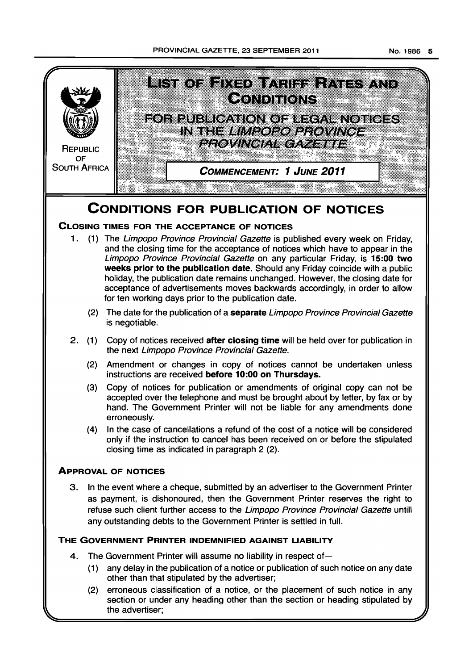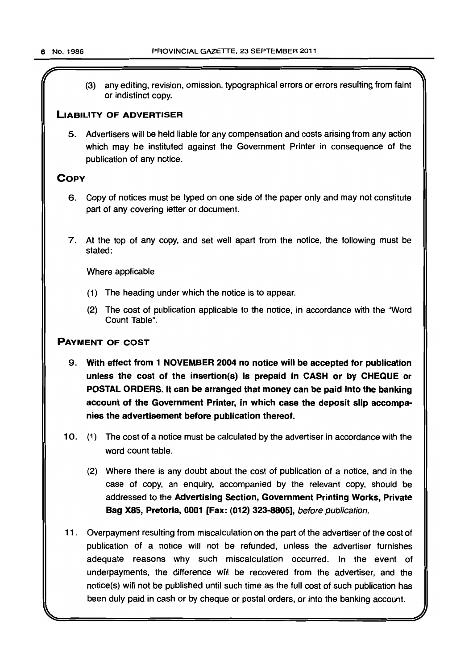(3) any editing, revision, omission, typographical errors or errors resulting from faint or indistinct copy.

## LIABILITY OF ADVERTISER

5. Advertisers will be held liable for any compensation and costs arising from any action which may be instituted against the Government Printer in consequence of the publication of any notice.

## **COPY**

- 6. Copy of notices must be typed on one side of the paper only and may not constitute part of any covering letter or document.
- 7. At the top of any copy, and set well apart from the notice, the following must be stated:

Where applicable

- (1) The heading under which the notice is to appear.
- (2) The cost of publication applicable to the notice, in accordance with the "Word Count Table".

## PAYMENT OF COST

- 9. With effect from 1 NOVEMBER 2004 no notice will be accepted for publication unless the cost of the insertion(s) is prepaid in CASH or by CHEQUE or POSTAL ORDERS. It can be arranged that money can be paid into the banking account of the Government Printer, in which case the deposit Slip accompanies the advertisement before publication thereof.
- 10. (1) The cost of a notice must be calculated by the advertiser in accordance with the word count table.
	- (2) Where there is any doubt about the cost of publication of a notice. and in the case of copy, an enquiry, accompanied by the relevant copy, should be addressed to the Advertising Section, Government Printing Works, Private Bag X85, Pretoria, 0001 [Fax: (012) 323-8805], before publication.
- 11 . Overpayment resulting from miscalculation on the part of the advertiser of the cost of publication of a notice will not be refunded, unless the advertiser furnishes adequate reasons why such miscalculation occurred. In the event of underpayments, the difference will be recovered from the advertiser, and the notice(s) will not be published until such time as the full cost of such publication has been duly paid in cash or by cheque or postal orders, or into the banking account.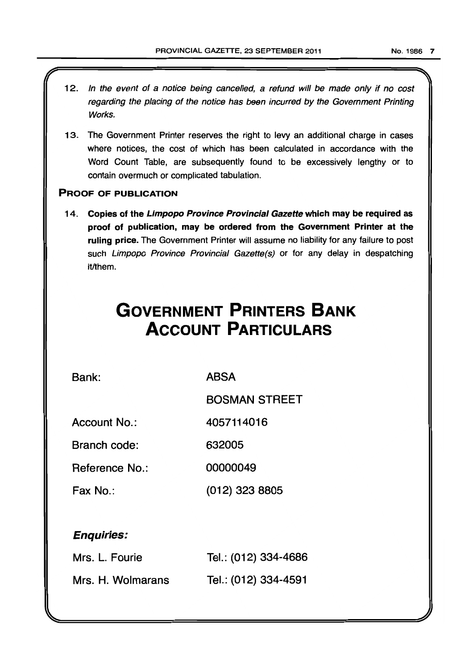- 12. In the event of a notice being cancelled, a refund will be made only if no cost regarding the placing of the notice has been incurred by the Government Printing Works.
- 13. The Government Printer reserves the right to levy an additional charge in cases where notices. the cost of which has been calculated in accordance with the Word Count Table, are subsequently found to be excessively lengthy or to contain overmuch or complicated tabulation.

## PROOF OF PUBLICATION

14. Copies of the Limpopo Province Provincial Gazette which may be required as proof of publication, may be ordered from the Government Printer at the ruling price. The Government Printer will assume no liability for any failure to post such Limpopo Province Provincial Gazette(s) or for any delay in despatching it/them.

# **GOVERNMENT PRINTERS BANK ACCOUNT PARTICULARS**

Bank:

ABSA

BOSMAN STREET

Account No.: 4057114016

Branch code: 632005

Reference No.: 00000049

Fax No.: (012) 323 8805

## Enquiries:

| Mrs. L. Fourie    | Tel.: (012) 334-4686 |
|-------------------|----------------------|
| Mrs. H. Wolmarans | Tel.: (012) 334-4591 |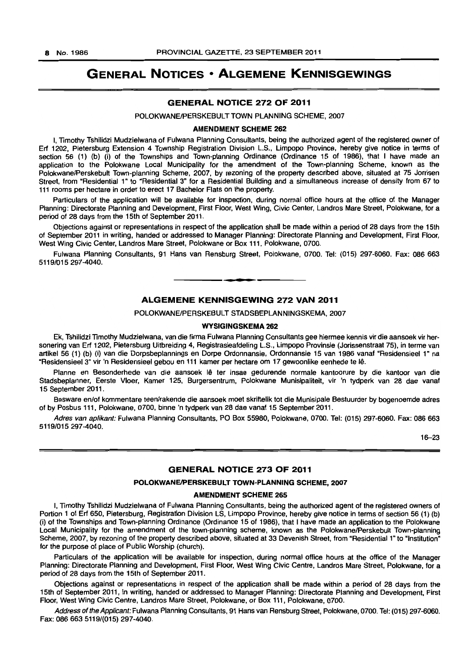## GENERAL NOTICES • ALGEMENE KENNISGEWINGS

#### GENERAL NOTICE 272 OF 2011

POLOKWANE/PERSKEBULT TOWN PLANNING SCHEME, 2007

#### AMENDMENT SCHEME 262

I, Timothy Tshilidzi Mudzielwana of Fulwana Planning Consultants, being the authorized agent of the registered owner of Erf 1202, Pietersburg Extension 4 Township Registration Division L.S., Limpopo Province, hereby give notice in terms of section 56 (1) (b) (i) of the Townships and Town-planning Ordinance (Ordinance 15 of 1986), that I have made an application to the Polokwane Local Municipality for the amendment of the Town-planning Scheme, known as the Polokwane/Perskebult Town-planning Scheme, 2007, by rezoning of the property described above, situated at 75 Jorrisen Street, from "Residential 1" to "Residential 3" for a Residential Building and a simultaneous increase of density from 67 to 111 rooms per hectare in order to erect 17 Bachelor Flats on the property.

Particulars of the application will be available for inspection, during normal office hours at the office of the Manager Planning: Directorate Planning and Development, First Floor, West Wing, Civic Center, Landros Mare Street, Polokwane, for a period of 28 days from the 15th of September 2011.

Objections against or representations in respect of the application shall be made within a period of 28 days from the 15th of September 2011 in writing, handed or addressed to Manager Planning: Directorate Planning and Development, First Floor, West Wing Civic Center, Landros Mare Street, Polokwane or Box 111, Polokwane, 0700.

Fulwana Planning Consultants, 91 Hans van Rensburg Street, Polokwane, 0700. Tel: (015) 297-6060. Fax: 086 663 5119/015297-4040.

**• •** 

## ALGEMENE KENNISGEWING 272 VAN 2011

POLOKWANEIPERSKEBULT STADSBEPLANNINGSKEMA, 2007

#### WYSIGINGSKEMA 262

Ek, Tshilidzi Timothy Mudzielwana, van die firma Fulwana Planning Consultants gee hiermee kennis vir die aansoek vir hersonering van Erf 1202, Pietersburg Uitbreiding 4, Registrasieafdeling L.S., Limpopo Provinsie (Jorissenstraat 75), in terme van artikel 56 (1) (b) (i) van die Dorpsbeplannings en Dorpe Ordonnansie, Ordonnansie 15 van 1986 vanaf "Residensieel 1" na "Residensieel 3" vir 'n Residensieel gebou en 111 kamer per hectare om 17 gewoonlike eenhede te Iê.

Planne en Besonderhede van die aansoek lê ter insae gedurende normale kantoorure by die kantoor van die Stadsbeplanner, Eerste Vloer. Kamer 125, Burgersentrum, Polokwane Munisipaliteit, vir 'n tydperk van 28 dae vanaf 15 September 2011.

Besware en/of kommentare teen/rakende die aansoek moet skriftelik tot die Munisipale Bestuurder by bogenoemde adres of by Posbus 111, Polokwane, 0700, binne 'n tydperk van 28 dae vanaf 15 September 2011.

Adres van aplikant: Fulwana Planning Consultants, PO Box 55980, Polokwane, 0700. Tel: (015) 297-6060. Fax: 086 663 5119/015297-4040.

16-23

## GENERAL NOTICE 273 OF 2011

#### POLOKWANE/PERSKEBULT TOWN-PLANNING SCHEME, 2007

#### AMENDMENT SCHEME 265

I, Timothy Tshilidzi Mudzielwana of Fulwana Planning Consultants, being the authorized agent of the registered owners of Portion 1 of Erf 650, Pietersburg, Registration Division LS, Limpopo Province, hereby give notice in terms of section 56 (1) (b) (i) of the Townships and Town-planning Ordinance (Ordinance 15 of 1986), that I have made an application to the Polokwane Local Municipality for the amendment of the town-planning scheme, known as the Polokwane/Perskebult Town-planning Scheme, 2007, by rezoning of the property described above, situated at 33 Devenish Street, from "Residential 1" to "Institution" for the purpose of place of Public Worship (church).

Particulars of the application will be available for inspection, during normal office hours at the office of the Manager Planning: Directorate Planning and Development, First Floor, West Wing Civic Centre, Landros Mare Street, Polokwane, for a period of 28 days from the 15th of September 2011.

Objections against or representations in respect of the application shall be made within a period of 28 days from the 15th of September 2011, in writing, handed or addressed to Manager Planning: Directorate Planning and Development, First Floor, West Wing Civic Centre, Landros Mare Street, Polokwane, or Box 111, Polokwane, 0700.

Address of the Applicant: Fulwana Planning Consultants, 91 Hans van Rensburg Street, Polokwane, 0700. Tel: (015) 297-6060. Fax: 086 663 5119/(015) 297-4040.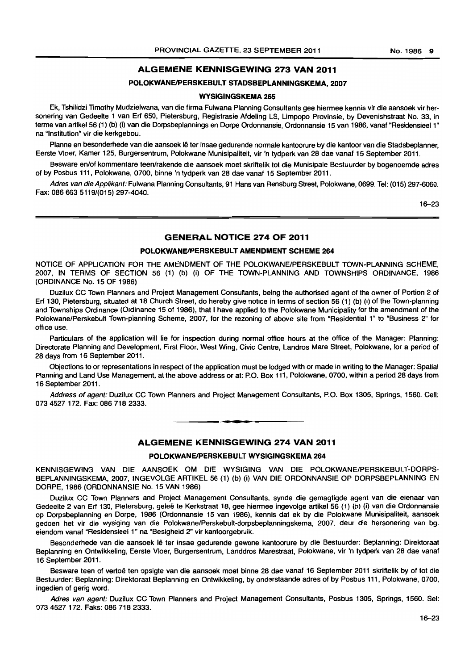## ALGEMENE KENNISGEWING 273 VAN 2011

## POLOKWANE/PERSKEBULT STADSBEPLANNINGSKEMA, 2007

#### WYSIGINGSKEMA 265

Ek, Tshilidzi Timothy Mudzielwana, van die firma Fulwana Planning Consultants gee hiermee kennis vir die aansoek vir hersonering van Gedeelte 1 van Erf 650, Pietersburg, Registrasie Afdeling LS, Limpopo Provinsie, by Devenishstraat No. 33, in terme van artikel 56 (1) (b) (i) van die Dorpsbeplannings en Dorpe Ordonnansie, Ordonnansie 15 van 1986, vanaf "Residensieel 1" na "Institution" vir die kerkgebou.

Planne en besonderhede van die aansoek lê ter insae gedurende normale kantoorure by die kantoor van die Stadsbeplanner, Eerste Vloer, Kamer 125, Burgersentrum, Polokwane Munisipaliteit, vir 'n tydperk van 28 dae vanaf 15 September 2011.

Besware en/of kommentare teen/rakende die aansoek moet skriftelik tot die Munisipale Bestuurder by bogenoemde adres of by Posbus 111, Polokwane, 0700, binne 'n tydperk van 28 dae vanaf 15 September 2011.

Adres van die Applikant: Fulwana Planning Consultants, 91 Hans van Rensburg Street, Polokwane, 0699. Tel: (015) 297-6060. Fax: 086 663 5119/(015) 297-4040.

16-23

## GENERAL NOTICE 274 OF 2011

## POLOKWANE/PERSKERULT AMENDMENT SCHEME 264

NOTICE OF APPLICATION FOR THE AMENDMENT OF THE POLOKWANEIPERSKEBULT TOWN·PLANNING SCHEME, 2007, IN TERMS OF SECTION 56 (1) (b) (i) OF THE TOWN-PLANNING AND TOWNSHIPS ORDINANCE, 1986 (ORDINANCE No. 15 OF 1986)

Duzilux CC Town Planners and Project Management Consultants, being the authorised agent of the owner of Portion 2 of Erf 130, Pietersburg, situated at 18 Church Street, do hereby give notice in terms of section 56 (1) (b) (i) of the Town-planning and Townships Ordinance (Ordinance 15 of 1986), that I have applied to the Polokwane Municipality for the amendment of the Polokwane/Perskebult Town-planning Scheme, 2007, for the rezoning of above site from "Residential 1" to "Business 2" for office use.

Particulars of the application will lie for inspection during normal office hours at the office of the Manager: Planning: Directorate Planning and Development, First Floor, West Wing, Civic Centre, Landros Mare Street, Polokwane, for a period of 28 days from 16 September 2011.

Objections to or representations in respect of the application must be lodged with or made in writing to the Manager: Spatial Planning and Land Use Management, at the above address or at: P.O. Box 111, Polokwane, 0700, within a period 28 days from 16 September 2011.

Address of agent: Duzilux CC Town Planners and Project Management Consultants, P.O. Box 1305, Springs, 1560. Cell: 073 4527 172. Fax: 086 718 2333.

#### ALGEMENE KENNISGEWING 274 VAN 2011

• **• I** 

#### POLOKWANE/PERSKEBULT WYSIGINGSKEMA 264

KENNISGEWING VAN DIE AANSOEK OM DIE WYSIGING VAN DIE POLOKWANE/PERSKEBULT-DORPS-BEPLANNINGSKEMA, 2007, INGEVOLGE ARTIKEL 56 (1) (b) (i) VAN DIE ORDONNANSIE OP DORPSBEPLANNING EN DORPE, 1986 (ORDONNANSIE No. 15 VAN 1986)

Duzilux CC Town Planners and Project Management Consultants, synde die gemagtigde agent van die eienaar van Gedeelte 2 van Erf 130, Pietersburg, geleë te Kerkstraat 18, gee hiermee ingevolge artikel 56 (1) (b) (i) van die Ordonnansie op Dorpsbeplanning en Dorpe, 1986 (Ordonnansie 15 van 1966), kennis dat ek by die Polokwane Munisipaliteit, aansoek gedoen het vir die wysiging van die Polokwane/Perskebult-dorpsbeplanningskema, 2007, deur die hersonering van bg. eiendom vanaf "Residensieel 1" na "Besigheid 2" vir kantoorgebruik.

Besonderhede van die aansoek lê ter insae gedurende gewone kantoorure by die Bestuurder: Beplanning: Direktoraat Beplanning en Ontwikkeling, Eerste Vloer, Burgersentrum, Landdros Marestraat, Polokwane, vir 'n tydperk van 28 dae vanaf 16 September 2011.

Besware teen of vertoë ten opsigte van die aansoek moet binne 28 dae vanaf 16 September 2011 skriftelik by of tot die Bestuurder: Beplanning: Direktoraat Beplanning en Ontwikkeling, by onderstaande adres of by Posbus 111, Polokwane, 0700, ingedien of gerig word.

Adres van agent: Duzilux CC Town Planners and Project Management Consultants, Posbus 1305, Springs, 1560. Sel: 0734527172. Faks: 086 718 2333.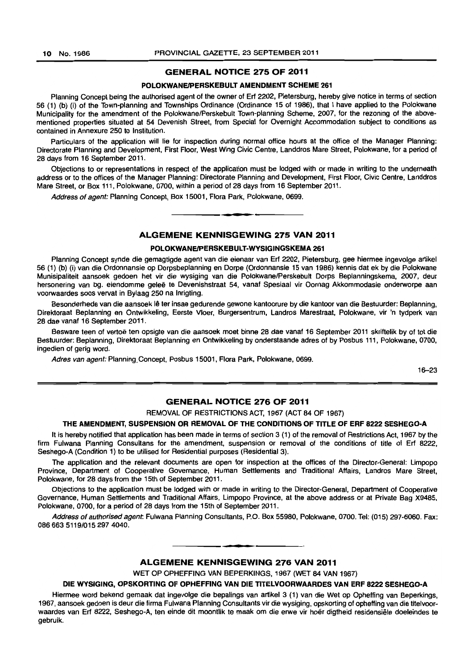#### GENERAL NOTICE 275 OF 2011

#### POLOKWANE/PERSKEBULT AMENDMENT SCHEME 261

Planning Concept being the authorised agent of the owner of Erf 2202, Pietersburg, hereby give notice in terms of section 56 (1) (b) (i) of the Town-planning and Townships Ordinance (Ordinance 15 of 1986), that I have applied to the Polokwane Municipality for the amendment of the Polokwane/Perskebult Town-planning Scheme, 2007, for the rezoning of the abovementioned properties situated at 54 Devenish Street, from Special for Overnight Accommodation subject to conditions as contained in Annexure 250 to Institution.

Particulars of the application will lie for inspection during normal office hours at the office of the Manager Planning: Directorate Planning and Development, First Floor, West Wing Civic Centre, Landdros Mare Street, Polokwane, for a period of 28 days from 16 September 2011.

Objections to or representations in respect of the application must be lodged with or made in writing to the underneath address or to the offices of the Manager Planning: Directorate Planning and Development, First Floor, Civic Centre, Landdros Mare Street, or Box 111, Polokwane, 0700, within a period of 28 days from 16 September 2011.

Address of agent: Planning Concept. Box 15001, Flora Park, Polokwane, 0699 .

#### ALGEMENE KENNISGEWING 275 VAN 2011

**•** 

#### POLOKWANE/PERSKEBULT-WYSIGINGSKEMA 261

Planning Concept synde die gemagtigde agent van die eienaar van Erf 2202, Pietersburg, gee hiermee ingevolge artikel 56 (1) (b) (i) van die Ordonnansie op Dorpsbeplanning en Dorpe (Ordonnansie 15 van 1986) kennis dat ek by die Polokwane Munisipaliteit aansoek gedoen het vir die wysiging van die PolokwanelPerskebult Dorps Beplanningskema, 2007, deur hersonering van bg. eiendomme gelee te Devenishstraat 54, vanaf Spesiaal vir Oornag Akkommodasie onderworpe aan voorwaardes soos vervat in Bylaag 250 na Inrigting.

Besonderhede van die aansoek lê ter insae gedurende gewone kantoorure by die kantoor van die Bestuurder: Beplanning, Direktoraat Beplanning en Ontwikkeling. Eerste Vloer. Burgersentrum, Landros Marestraat, Polokwane, vir 'n tydperk van 28 dae vanaf 16 September 2011.

Besware teen of vertoë ten opsigte van die aansoek moet binne 28 dae vanaf 16 September 2011 skriftelik by of tot die Bestuurder: Beplanning, Direktoraat Beplanning en Ontwikkeling by onderstaande adres of by Posbus 111. Polokwane, 0700, ingedien of gerig word.

Adres van agent: Planning, Concept, Posbus 15001, Flora Park, Polokwane, 0699.

16-23

## GENERAL NOTICE 276 OF 2011

REMOVAL OF RESTRICTIONS ACT, 1967 (ACT 84 OF 1967)

#### THE AMENDMENT, SUSPENSION OR REMOVAL OF THE CONDITIONS OF TITLE OF ERF 8222 SESHEGO-A

It is hereby notified that application has been made in terms of section 3 (1) of the removal of Restrictions Act, 1967 by the firm Fulwana Planning Consultans for the amendment, suspension or removal of the conditions of title of Erf 8222. Seshego-A (Condition 1) to be utilised for Residential purposes (Residential 3).

The application and the relevant documents are open for inspection at the offices of the Director-General: Limpopo Province, Department of Cooperative Governance, Human Settlements and Traditional Affairs, Landros Mare Street, Polokwane. for 28 days from the 15th of September 2011 ,

Objections to the application must be lodged with or made in writing to the Director-General. Department of Cooperative Governance, Human Settlements and Traditional Affairs, Limpopo Province, at the above address or at Private Bag X9485, Polokwane, 0700, for a period of 28 days from the 15th of September 2011.

Address of authorised agent Fulwana Planning Consultants, P.O. Box 55980, Polokwane, 0700. Tel: (015) 297-6060. Fax: 086663 5119/015 297 4040.

## ALGEMENE KENNISGEWING 276 VAN 2011

WET OP OPHEFFING VAN BEPERKINGS, 1967 (WET 84 VAN 1967)

**• •** 

#### DIE WYSIGING, OPSKORTING OF OPHEFFING VAN DIE T1TELVOORWAARDES VAN ERF 8222 SESHEGO-A

Hiermee word bekend gemaak dat ingevolge die bepalings van artikel 3 (1) van die Wet op Opheffing van Beperkings, 1967, aansoek gedoen is deur die firma Fulwana Planning Consultants vir die wysiging, opskorting of opheffing van die titelvoorwaardes van Erf 8222, Seshego-A, ten einde dit moontlik fe maak om die erwe vir hoer digtheid residensiele doeleindes te gebruik.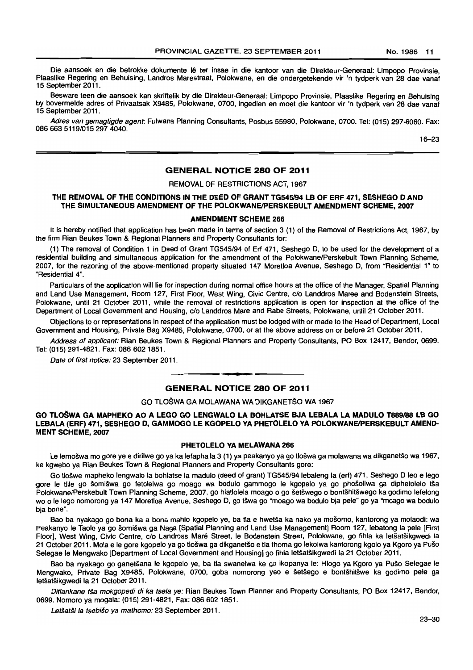Die aansoek en die betrokke dokumente lê ter insae in die kantoor van die Direkteur-Generaal: Limpopo Provinsie, Plaaslike Regering en Behuising, Landros Marestraat, Polokwane, en die ondergetekende vir 'n tydperk van 28 dae vanaf 15 September 2011.

Besware teen die aansoek kan skriftelik by die Direkteur-Generaal: Limpopo Provinsie, Plaaslike Regering en Behuising by bovermelde adres of Privaatsak X9485, Polokwane, 0700, ingedien en moet die kantoor vir 'n tydperk van 28 dae vanaf 15 September 2011.

Adres van gemagtigde agent Fulwana Planning Consultants, Posbus 55980, Polokwane, 0700. Tel: (015) 297-6060. Fax: 0866635119/0152974040.

16-23

## GENERAL NOTICE 280 OF 2011

REMOVAL OF RESTRICTIONS ACT, 1967

## THE REMOVAL OF THE CONDITIONS IN THE DEED OF GRANT TG545/94 LB OF ERF 471, SESHEGO D AND THE SIMULTANEOUS AMENDMENT OF THE POLOKWANE/PERSKEBULT AMENDMENT SCHEME, 2007

#### AMENDMENT SCHEME 266

It is hereby notified that application has been made in terms of section 3 (1) of the Removal of Restrictions Act, 1967, by the firm Rian Beukes Town & Regional Planners and Property Consultants for:

(1) The removal of Condition 1 in Deed of Grant TG545/94 of Erf 471, Seshego D. to be used for the development of a residential building and simultaneous application for the amendment of the Polokwane/Perskebult Town Planning Scheme, 2007, for the rezoning of the above-mentioned property situated 147 Moretloa Avenue, Seshego D, from "Residential 1" to "Residential 4".

Particulars of the application will lie for inspection during normal office hours at the office of the Manager, Spatial Planning and Land Use Management, Room 127, First Floor, West Wing, Civic Centre, c/o Landdros Maree and Bodenstein Streets, Polokwane. until 21 October 2011, while the removal of restrictions application is open for inspection at the office of the Department of Local Government and Housing, c/o Landdros Mare and Rabe Streets, Polokwane, until 21 October 2011.

Objections to or representations in respect of the application must be lodged with or made to the Head of Department, Local Govemment and Housing, Private Bag X9485, Polokwane, 0700, or at the above address on or before 21 October 2011.

Address of applicant: Rian Beukes Town & Regional Planners and Property Consultants, PO Box 12417, Bendor, 0699. Tel: (015) 291-4821. Fax: 086 6021851. . **\_.** 

Date of first notice: 23 September 2011.

## GENERAL NOTICE 280 OF 2011

#### GO TlOSWA GA MOLAWANA WA DIKGANETSO WA 1967

### GO TLOŠWA GA MAPHEKO AO A LEGO GO LENGWALO LA BOHLATSE BJA LEBALA LA MADULO T889/88 LB GO LEBALA (ERF) 471, SESHEGO D, GAMMOGO LE KGOPELO YA PHETOLELO YA POLOKWANE/PERSKEBULT AMEND-MENT SCHEME, 2007

#### PHETOLELO VA MELAWANA 266

Le lemošwa mo gore ye e dirilwe go ya ka lefapha la 3 (1) ya peakanyo ya go tlošwa ga molawana wa dikganetšo wa 1967, ke kgwebo ya Rian Beukes Town & Regional Planners and Property Consultants gore:

Go tlošwe mapheko lengwalo la bohlatse la madulo (deed of grant) TG545/94 lebaleng la (erf) 471, Seshego D leo e lego gore le tlile go šomišwa go fetolelwa go moago wa bodulo gammogo le kgopelo ya go phošollwa ga diphetolelo tša Polokwane/Perskebult Town Planning Scheme, 2007, go hlatlolela moago o go šetšwego o bontšhitšwego ka godimo lefelong wo 0 Ie lego nomorong ya 147 Moretloa Avenue, Seshego D, go tswa go "moago wa bodulo bja pele" go ya "moago wa bodulo bja bone".

Bao ba nyakago go bona ka a bona mahlo kgopelo ye, ba tla e hwetsa ka nako ya mosomo. kantorong ya molaodi: wa Peakanyo le Taolo ya go šomišwa ga Naga [Spatial Planning and Land Use Management] Room 127, lebatong la pele [First Floor], West Wing, Civic Centre, c/o Landross Maré Street, le Bodenstein Street, Polokwane, go fihla ka letšatšikgwedi la 21 October 2011. Mola e Ie gore kgopelo ya go tloswa ga dikganetso e tla thoma go lekolwa kantorong kgolo ya Kgoro ya PuSe Selegae Ie Mengwako [Department of Local Govemment and Housing] go fihla letsatsikgwedi la 21 October 2011.

Bao ba nyakago go ganetsana Ie kgopelo ye, ba tla swanelwa ke go ikopanya Ie: Hlogo ya Kgoro ya Puso Selegae Ie Mengwako, Private Bag X9485, Polokwane, 0700, goba nomorong yeo e šetšego e bontšhitšwe ka godimo pele ga letšatšikgwedi la 21 October 2011.

Ditlankane tša mokgopedi di ka tsela ve: Rian Beukes Town Planner and Property Consultants, PO Box 12417, Bendor, 0699. Nomoro ya magala: (015) 291-4821, Fax: 086 602 1851.

Letšatši la tsebišo va mathomo: 23 September 2011.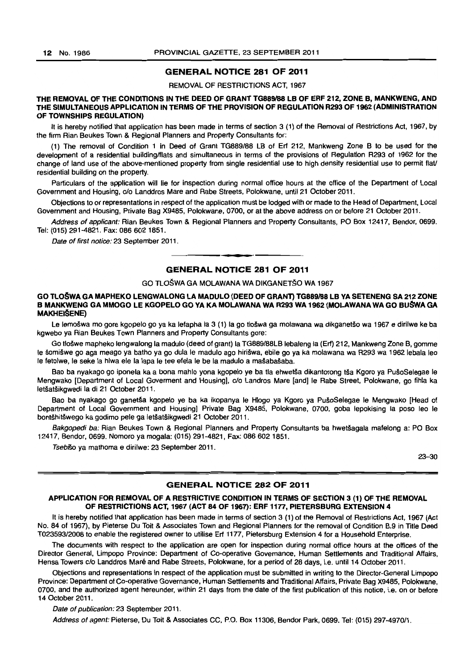#### GENERAL NOTICE 281 OF 2011

#### REMOVAL OF RESTRICTIONS ACT, 1967

#### THE REMOVAL OF THE CONDITIONS IN THE DEED OF GRANT TG889/88 LB OF ERF 212, ZONE B, MANKWENG, AND THE SIMULTANEOUS APPLICATION IN TERMS OF THE PROVISION OF REGULATION R293 OF 1962 (ADMINISTRATION OF TOWNSHIPS REGULATION)

It is hereby notified that application has been made in terms of section 3 (1) of the Removal of Restrictions Act, 1967, by the firm Rian Beukes Town & Regional Planners and Properly Consultants for:

(1) The removal of Condition 1 in Deed of Grant *TG889/88* LB of Erf 212, Mankweng Zone B to be used for the development of a residential building/flats and simultaneous in terms of the provisions of Regulation R293 of 1962 for the change of land use of the above-mentioned properly from single residential use to high density residential use to permit flaV residential building on the properly.

Particulars of the application will lie for inspection during normal office hours at the office of the Department of Local Government and Housing, c/o Landdros Mare and Rabe Streets, Polokwane, until 21 October 2011.

Objections to or representations in respect of the application must be lodged with or made to the Head of Department, Local Government and Housing, Private Bag X9485, Polokwane, 0700, or at the above address on or before 21 October 2011.

Address of applicant: Rian Beukes Town & Regional Planners and Property Consultants, PO Box 12417, Bendor, 0699. Tel: (015) 291-4821. Fax: 0866021851.

Date of first notice: 23 September 2011.

## **• •**  GENERAL NOTICE 281 OF 2011

## GO TLOSWA GA MOLAWANA WA DIKGANETSO WA 1967

#### GO TLOŠWA GA MAPHEKO LENGWALONG LA MADULO (DEED OF GRANT) TG889/88 LB YA SETENENG SA 212 ZONE B MANKWENG GA MMOGO LE KGOPELO GO YA KA MOLAWANA WA R293 WA 1962 (MOLAWANA WA GO BUŠWA GA **MAKHEIŠENE)**

Le lemošwa mo gore kgopelo go ya ka lefapha la 3 (1) la go tlošwa ga molawana wa dikganetšo wa 1967 e dirilwe ke ba kgwebo ya Rian Beukes Town Planners and Properly Consultants gore:

Go tlošwe mapheko lengwalong la madulo (deed of grant) la TG889/88LB lebaleng la (Erf) 212, Mankweng Zone B, gomme Ie šomišwe go aga meago ya batho ya go dula le madulo ago hirišwa, ebile go ya ka molawana wa R293 wa 1962 lebala leo Ie fetolwe. Ie seke la hlwa ele la lapa Ie tee efela Ie be la madulo a masabasaba.

Bao ba nyakago go iponela ka a bona mahlo yona kgopelo ye ba tla ehwetša dikantorong tša Kgoro ya PušoSelegae le Mengwako [Department of Local Goverment and Housing], c/o Landros Mare [and] le Rabe Street, Polokwane, go fihla ka letšatšikgwedi la di 21 October 2011.

Bao ba nyakago go ganetša kgopelo ye ba ka ikopanya le Hlogo ya Kgoro ya PušoSelegae le Mengwako [Head of Department of Local Government and Housing] Private Bag X9485, Polokwane, 0700, goba lepokising la poso leo Ie bontshitswego ka godimo pele ga letsatsikgwedi 21 October 2011.

Bakgopedi ba: Rian Beukes Town & Regional Planners and Property Consultants ba hwetšagala mafelong a: PO Box 12417, Bendor, 0699. Nomoro ya mogala: (015) 291-4821, Fax: 086602 1851.

Tsebišo ya mathoma e dirilwe: 23 September 2011.

23-30

#### GENERAL NOTICE 282 OF 2011

#### APPLICATION FOR REMOVAL OF A RESTRICTIVE CONDITION IN TERMS OF SECTION 3 (1) OF THE REMOVAL OF RESTRICTIONS ACT, 1967 (ACT 84 OF 1967): ERF *11n,* PIETERSBURG EXTENSION 4

It is hereby notified that application has been made in terms of section 3 (1) of the Removal of Restrictions Act, 1967 (Act No. 84 of 1967), by Pieterse Du Toit & Associates Town and Regional Planners for the removal of Condition B.9 in Title Deed *T023593/2008* to enable the registered owner to utilise Erf *11n.* Pietersburg Extension 4 for a Household Enterprise.

The documents with respect to the application are open for inspection during normal office hours at the offices of the Director General. Limpopo Province: Department of Co-operative Governance, Human Settlements and Traditional Affairs, Hensa Towers c/o Landdros Maré and Rabe Streets, Polokwane, for a period of 28 days, i.e. until 14 October 2011.

Objections and representations in respect of the application must be submitted in writing to the Director-General Limpopo Province: Department of Co-operative Governance, Human Settlements and Traditional Affairs, Private Bag X9485, Polokwane, 0700. and the authorized agent hereunder, within 21 days from the date of the first publication of this notice, i.e. on or before 14 October 2011.

Date of publication: 23 September 2011.

Address of agent: Pieterse, Du Toit & Associates CC, P.O. Box 11306, Bendor Park, 0699. Tel: (015) 297-4970/1.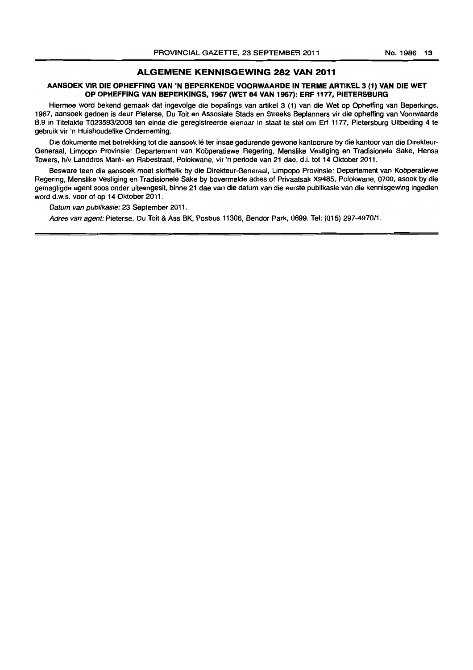## ALGEMENE KENNISGEWING 282 VAN 2011

#### AANSOEK VIR DIE OPHEFFING VAN 'N BEPERKENDE VOORWAARDE IN TERME ARTIKEL 3 (1) VAN DIE WET OP OPHEFFING VAN BEPERKINGS, 1967 (WET 84 VAN 1967): ERF 1177, PIETERSBURG

Hiermee word bekend gemaak dat ingevolge die bepalings van artikel 3 (1) van die Wet op Opheffing van Beperkings, 1967, aansoek gedoen is deur Pieterse, Du Toit en Assosiate Siads en Streeks Beplanners vir die opheffing van Voorwaarde B.9 in Titelakte T023593/2008 ten einde die geregistreerde eienaar in staat te stel om Erf 1177, Pietersburg Uitbeiding 4 te gebruik vir 'n Huishoudelike Onderneming.

Die dokumente met betrekking tot die aansoek lê ter insae gedurende gewone kantoorure by die kantoor van die Direkteur-Generaal, Limpopo Provinsie: Departement van Koöperatiewe Regering, Menslike Vestiging en Tradisionele Sake, Hensa Towers, h/v Landdros Maré- en Rabestraat, Polokwane, vir 'n periode van 21 dae, d.i. tot 14 Oktober 2011.

Besware teen die aansoek moet skriftelik by die Direkteur-Generaal, Limpopo Provinsie: Departement van Koöperatiewe Regering, Menslike Vestiging en Tradisionele Sake by bovermelde adres of Privaatsak X9485, Polokwane, 0700, asook by die gemagtigde agent soos onder uiteengesit, binne 21 dae van die datum van die eerste publikasie van die kennisgewing ingedien word d.w.s. voor of op 14 Oktober 2011.

Datum van publikasie: 23 September 2011.

Adres van agent: Pieterse, Du Toit & Ass BK, Posbus 11306, Bendor Park, 0699. Tel: (015) 297-497011.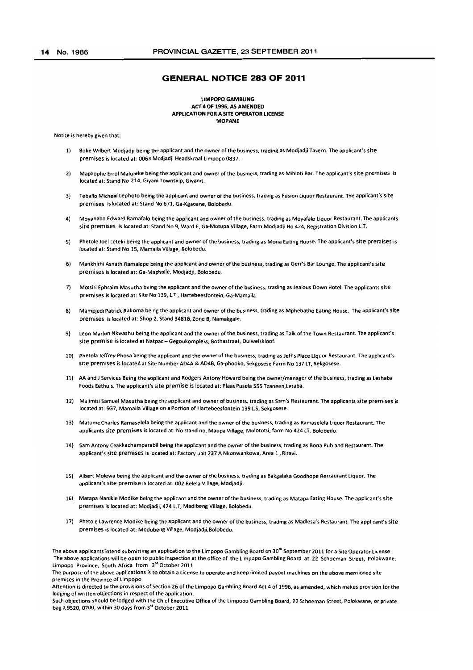#### **GENERAL NOTICE 283 OF 2011**

#### LIMPOPO GAMBLING ACf 4 OF 1996, AS AMENDED APPLICATION FOR A SITE OPERATOR LICENSE MOPANE

Notice is hereby given that:

- 1) Boke Wilbert Modjadji being the applicant and the owner of the business, trading as Modjadji Tavern. The applicant's site premises is located at: 0063 Modjadji Headskraal Limpopo 0837.
- 2) Maphophe Errol Maluleke being the applicant and owner of the business, trading as Mihloti Bar. The applicant's site premises is located at: Stand No 214, Givani Township, Giyanit.
- 3) Teballo Micheal Lephoto being the applicant and owner of the business, trading as Fusion Liquor Restaurant. The applicant's site premises is located at: Stand No 671, Ga-Kgapane, Bolobedu.
- 4) Moyahabo Edward Ramafalo being the applicant and owner of the business, trading as Moyafalo Liquor Restaurant. The applicants site premises is located at: Stand No 9, Ward E, Ga-Motupa Village, Farm Modjadji No 424, Registration Division l.T.
- 5) Phetole Joel Leteki being the applicant and owner of the business, trading as Mona Eating House. The applicant's site premises is located at: Stand No 15, Mamaila Village, Bolobedu.
- 6) Mankhithi Asnath Ramalepe being the applicant and owner of the business, trading as Gerr's Bar Lounge. The applicant's site premises is located at: Ga-Maphalle, Modjadji, Bolobedu.
- 7) Motsiri Ephraim Masutha being the applicant and the owner of the business, trading as Jealous Down Hotel. The applicants site premises is located at: Site No 139, L.T , Hartebeesfontein, Ga-Mamaila
- 8) Mampjedi Patrick Rakoma being the applicant and owner of the business, trading as Mphebatho Eating House. The applicant's site premises is located at: Shop 2, Stand 3481B, Zone B, Namakgaie.
- 9) Leon Marlon Nkwashu being the applicant and the owner of the business, trading as Talk of the Town Restaurant. The applicant's site premise is located at Natpac - Gegoukompleks. Bothastraat, Duiwelskloof.
- 10) Phetola Jeffrey Phosa being the applicant and the owner of the business, trading as Jeff's Place Liquor Restaurant. The applicant's site premises is located at Site Number AD4A & AD4B, Ga-phooko, Sekgosese Farm No 137 LT, Sekgosese.
- 11) AA and J Services Being the applicant and Rodgers Antony Howard being the owner/manager of the business, trading as leshaba Foods Eethuis. The applicant's site premise is located at: plaas Pusela 555 Tzaneen,letaba.
- 12) Mulimisi Samuel Masutha being the applicant and owner of business, trading as Sam's Restaurant. The applicants site premises is located at: SG7, Mamaila Village on a Portion of Hartebeesfontein 139 L.S, Sekgosese.
- 13) Matome Charles Ramaselela being the applicant and the owner of the business. trading as Ramaselela Liquor Restaurant. The applicants site premises is located at: No stand no, Maupa Village, Molototsi, farm No 424LT, Bolobedu.
- 14) Sam Antony Chakkachamparabil being the applicant and the owner of the business, trading as Bona Pub and Restaurant. The applicant's site premises is located at: Factory unit 237 A Nkonwankowa, Area 1, Ritavi.
- 15) Albert Molewa being the applicant and the owner of the business, trading as Bakgalaka Goodhope Restaurant Liquor. The applicant's site premise is located at: 002 Relela Village. Modjadji.
- 16) Matapa Nanikie Modike being the applicant and the owner of the business, trading as Matapa Eating House. The applicant's site premises is located at: Modjadji, 424 L.T, Madibeng Village, Bolobedu.
- 17) Phetole lawrence Modike being the applicant and the owner of the business, trading as Madlesa's Restaurant. The applicant's site premises is located at: Modubeng Village, Modjadji,Bolobedu.

The above applicants intend submitting an application to the Limpopo Gambling Board on 30<sup>th</sup> September 2011 for a Site Operator License The above applications will be open to public inspection at the office of the Limpopo Gambling Board at 22 Schoeman Street, Polokwane, Limpopo Province, South Africa from 3<sup>rd</sup> October 2011

The purpose of the above applications is to obtain a license to operate and keep limited payout machines on the above mentioned site premises in the Province of Limpopo.

Attention is directed to the provisions of Section 26 of the Limpopo Gambling Board Act 4 of 1996. as amended, which makes provision for the lodging of written objections in respect of the application.

Such objections should be lodged with the Chief Executive Office of the limpopo Gambling Board, 22 Schoeman Street, Polokwane, or private bag X 9520, 0700, within 30 days from 3" October 2011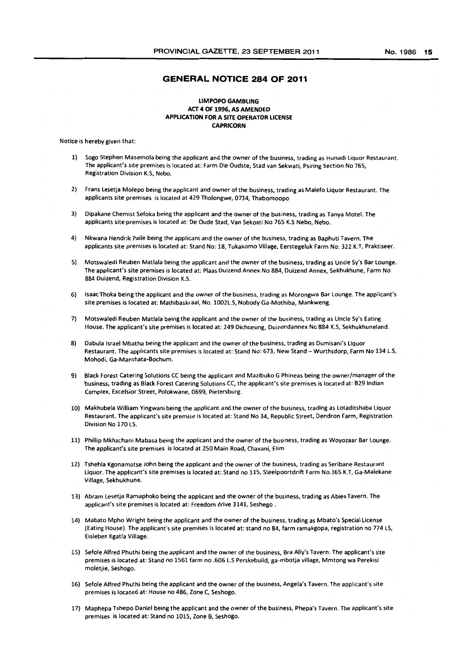## **GENERAL NOTICE 284 OF 2011**

#### LIMPOPO GAMBLING ACT 4 OF 1996, AS AMENDED APPLICATION FOR A SITE OPERATOR LICENSE CAPRICORN

Notice is hereby given that:

- 1) Sogo Stephen Masemola being the applicant and the owner of the business, trading as Hunadi liquor Restaurant, The applicant's site premises is located at: Farm Die Oudste, Stad van Sekwati, Psiring Section No 765, Registration Division K.S, Nebo.
- 2) Frans Lesetja Molepo being the applicant and owner of the business, trading as Malefo liquor Restaurant, The applicants site premises is located at 429 Tholongwe, 0734, Thabomoopo
- 3) Dipakane Chemist Sefoka being the applicant and the owner of the business, trading as Tanya Motel. The applicants site premises is located at: De Oude Stad, Van Sekoati No 765 K.S Nebo, Nebo.
- 4) Nkwana Hendrik Paile being the applicant and the owner of the business, trading as 8aphuti Tavern. The applicants site premises is located at: Stand No: 18, Tukakomo Village, Eerstegeluk Farm No: 322 K.T, Praktiseer.
- 5) Motswaledi Reuben Matlala being the applicant and the owner of the business, trading as Uncle Sy's Bar Lounge. The applicant's site premises is located at: Plaas Duizend Annex No 884, Duizend Annex, Sekhukhune, Farm No 884 Duizend, Registration Division K.S.
- 6) Isaac Thoka being the applicant and the owner of the business, trading as Morongwa Bar lounge. The applicant's site premises is located at: Mathibaskraal, No. 1002l.S, Nobody Ga-Mothiba, Mankweng,
- 7) Motswaledi Reuben Matlala being the applicant and the owner of the business, trading as Uncle Sy's Eating House. The applicant's site premises is located at: 249 Dichoeung, Duizendannex No 884 K.S, Sekhukhuneland.
- 8) Dabula Israel Mbatha being the applicant and the owner of the business, trading as Dumisani's liquor Restaurant. The applicants site premises is located at: Stand No: 673, New Stand - Wurthsdorp, Farm No 134 L.S, Mohodi, Ga-Manthata-Bochum.
- 9) Black forest Catering Solutions CC being the applicant and Mazibuko G Phineas being the owner/manager of the business, trading as Black Forest Catering Solutions CC, the applicant's site premises is located at: B29 Indian Complex, Excelsior Street, Polokwane, 0699, Pietersburg.
- 10) Makhubela William Yingwani being the applicant and the owner of the business, trading as Lotaditshaba Liquor Restaurant. The applicant's site premise is located at: Stand No 34, Republic 5treet, Dendron Farm, Registration Division No 170 LS,
- 11) Phillip Mkhachani Mabasa being the applicant and the owner of the business, trading as Woyozaar Bar lounge, The applicant's site premises is located at 250 Main Road, Chavani, Elim
- 12) Tshehla Kgonamotse John being the applicant and the owner of the business, trading as Seribane Restaurant liquor. The applicant's site premises is located at: Stand no 115, Steelpoortdrift Farm No.365 K.T, Ga-Malekane Village, Sekhukhune,
- 13) Abram lesetja Ramaphoko being the applicant and the owner of the business, trading as Abies Tavern. The applicant's site premises is located at: Freedom drive 3141, Seshego ,
- 14) Mabato Mpho Wright being the applicant and the owner of the business, trading as Mbato's Special license (Eating House). The applicant's site premises is located at: stand no 84, farm ramakgopa, registration no 774lS, Eisleben Kgatla Village,
- 15) Sefole Alfred Phuthi being the applicant and the owner of the business, Bra Ally's Tavern, The applicant's site premises is located at: Stand no 1561 farm no .606 L.S Perskebuild, ga-mbotja village, Mmtong wa Perekisi moletjie, Seshogo.
- 16) Sefole Alfred Phuthi being the applicant and the owner of the business, Angela's Tavern, The applicant's site premises is located at: House no 486, Zone C, Seshogo.
- 17) Maphepa Tshepo Daniel being the applicant and the owner of the business, Phepa's Tavern, The applicant's site premises is located at: Stand no 1015, Zone B, Seshogo.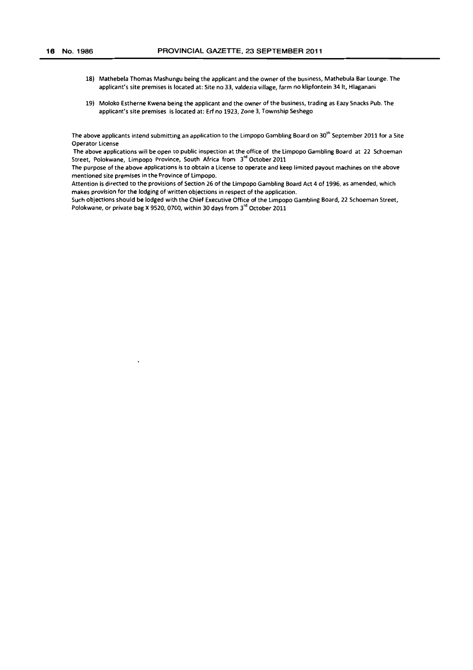- 18) Mathebela Thomas Mashungu being the applicant and the owner of the business, Mathebula Bar lounge. The applicant's site premises is located at; Site no 33, vatdezia village, farm no klipfontein 34 It, Hlaganani.
- 19) Moloko Estherne Kwena being the applicant and the owner of the business, trading as Eazy Snacks Pub. The applicant's site premises is located at; Erf no 1923, Zone 3, Township Seshego

The above applicants intend submitting an application to the Limpopo Gambling Board on 30<sup>th</sup> September 2011 for a Site Operator license

The above applications will be open to public inspection at the office of the limpopo Gambling Board at 22 Schoeman Street, Polokwane, Limpopo Province, South Africa from 3<sup>rd</sup> October 2011

The purpose of the above applications is to obtain a license to operate and keep limited payout machines on the above mentioned site premises in the Province of limpopo.

Attention is directed to the provisions of Section 26 of the limpopo Gambling Board Act 4 of 1996, as amended, which makes provision for the lodging of written objections in respect of the application.

Such objections should be lodged with the Chief Executive Office of the limpopo Gambling Board, 22 Schoeman Street, Polokwane, or private bag X 9520, 0700, within 30 days from 3'd October 2011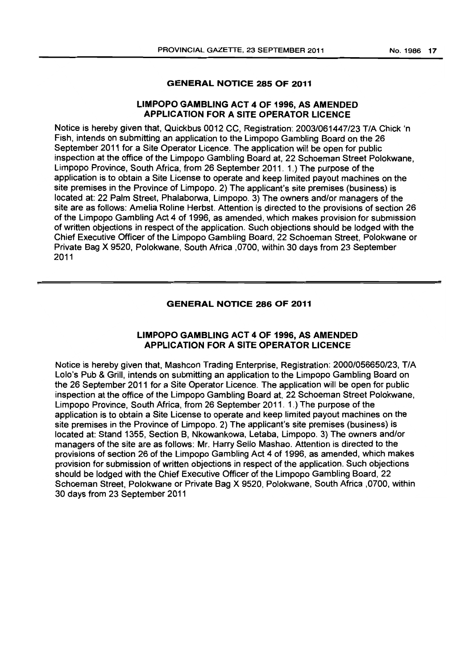## GENERAL NOTICE 285 OF 2011

## LIMPOPO GAMBLING ACT 4 OF 1996, AS AMENDED APPLICATION FOR A SITE OPERATOR LICENCE

Notice is hereby given that, Quickbus 0012 CC, Registration: 2003/061447/23 TIA Chick 'n Fish, intends on submitting an application to the Limpopo Gambling Board on the 26 September 2011 for a Site Operator Licence. The application will be open for public inspection at the office of the Limpopo Gambling Board at, 22 Schoeman Street Polokwane, Limpopo Province, South Africa, from 26 September 2011. 1.) The purpose of the application is to obtain a Site License to operate and keep limited payout machines on the site premises in the Province of Limpopo. 2) The applicant's site premises (business) is located at: 22 Palm Street, Phalaborwa, Limpopo. 3) The owners and/or managers of the site are as follows: Amelia Roline Herbst. Attention is directed to the provisions of section 26 of the Limpopo Gambling Act 4 of 1996, as amended, which makes provision for submission of written objections in respect of the application. Such objections should be lodged with the Chief Executive Officer of the Limpopo Gambling Board, 22 Schoeman Street, Polokwane or Private Bag X 9520, Polokwane, South Africa ,0700, within 30 days from 23 September 2011

## GENERAL NOTICE 286 OF 2011

## LIMPOPO GAMBLING ACT 4 OF 1996, AS AMENDED APPLICATION FOR A SITE OPERATOR LICENCE

Notice is hereby given that, Mashcon Trading Enterprise, Registration: 2000/056650/23, TIA Lolo's Pub & Grill, intends on submitting an application to the Limpopo Gambling Board on the 26 September 2011 for a Site Operator Licence. The application will be open for public inspection at the office of the Limpopo Gambling Board at, 22 Schoeman Street Polokwane, Limpopo Province, South Africa, from 26 September 2011. 1.) The purpose of the application is to obtain a Site License to operate and keep limited payout machines on the site premises in the Province of Limpopo. 2) The applicant's site premises (business) is located at: Stand 1355, Section B, Nkowankowa, Letaba, Limpopo. 3) The owners and/or managers of the site are as follows: Mr. Harry Sello Mashao. Attention is directed to the provisions of section 26 of the Limpopo Gambling Act 4 of 1996, as amended, which makes provision for submission of written objections in respect of the application. Such objections should be lodged with the Chief Executive Officer of the Limpopo Gambling Board, 22 Schoeman Street, Polokwane or Private Bag X 9520, Polokwane, South Africa ,0700, within 30 days from 23 September 2011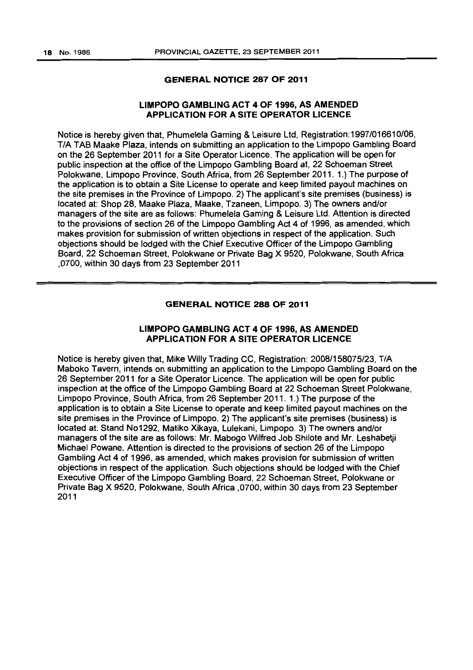## GENERAL NOTICE 287 OF 2011

## LIMPOPO GAMBLING ACT 4 OF 1996, AS AMENDED APPLICATION FOR A SITE OPERATOR LICENCE

Notice is hereby given that, Phumelela Gaming & Leisure Ltd, Registration:1997/016610/06, TIA TAB Maake Plaza, intends on submitting an application to the Limpopo Gambling Board on the 26 September 2011 for a Site Operator Licence. The application will be open for public inspection at the office of the Limpopo Gambling Board at, 22 Schoeman Street Polokwane, Limpopo Province, South Africa, from 26 September 2011. 1.) The purpose of the application is to obtain a Site License to operate and keep limited payout machines on the site premises in the Province of Limpopo. 2) The applicant's site premises (business) is located at: Shop 28, Maake Plaza, Maake, Tzaneen, Limpopo. 3) The owners and/or managers of the site are as follows: Phumelela Gaming & Leisure Ltd. Attention is directed to the provisions of section 26 of the Limpopo Gambling Act 4 of 1996, as amended, which makes provision for submission of written objections in respect of the application. Such objections should be lodged with the Chief Executive Officer of the Limpopo Gambling Board, 22 Schoeman Street, Polokwane or Private Bag X 9520, Polokwane, South Africa ,0700, within 30 days from 23 September 2011

## GENERAL NOTICE 288 OF 2011

## LIMPOPO GAMBLING ACT 4 OF 1996, AS AMENDED APPLICATION FOR A SITE OPERATOR LICENCE

Notice is hereby given that, Mike Willy Trading CC, Registration: 2008/158075/23, T/A Maboko Tavern. intends on submitting an application to the Limpopo Gambling Board on the 26 September 2011 for a Site Operator Licence. The application will be open for public inspection at the office of the Limpopo Gambling Board at 22 Schoeman Street Polokwane, Limpopo Province, South Africa, from 26 September 2011. 1.) The purpose of the application is to obtain a Site License to operate and keep limited payout machines on the site premises in the Province of Limpopo. 2) The applicant's site premises (business) is located at: Stand N01292, Matiko Xikaya, Lulekani, Limpopo. 3) The owners and/or managers of the site are as follows: Mr. Mabogo Wilfred Job Shilote and Mr. Leshabetji Michael Powane. Attention is directed to the provisions of section 26 of the Limpopo Gambling Act 4 of 1996, as amended, which makes provision for submission of written objections in respect of the application. Such objections should be lodged with the Chief Executive Officer of the Limpopo Gambling Board, 22 Schoeman Street, Polokwane or Private Bag X 9520, Polokwane, South Africa ,0700, within 30 days from 23 September 2011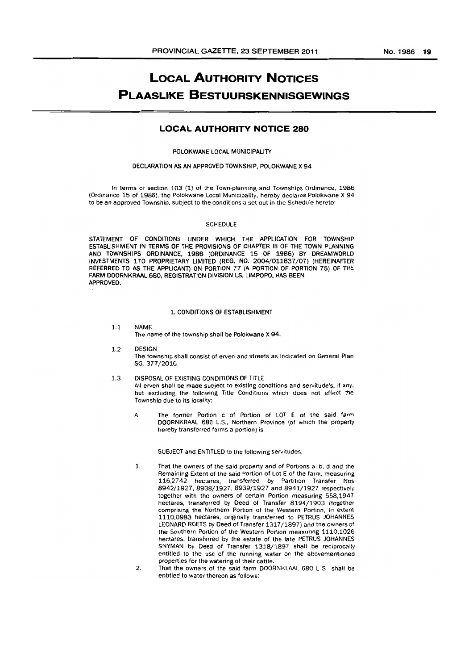## **LOCAL AUTHORITY NOTICES PLAASLIKE BESTUURSKENNISGEWINGS**

## **LOCAL AUTHORITY NOTICE 280**

#### POLOKWANE LOCAL MUNICIPALITY

#### DECLARATION AS AN APPROVED TOWNSHIP. POLOKWANE X 94

In terms of section 103 (1) of the Town-planning and Townships Ordinance. 1986 (Ordinance 15 of 1986). the Polokwane Local Municipality, hereby declares Polokwane X 94 to be an approved Township, subject to the conditions a set out in the Schedule hereto:

#### SCHEDULE

STATEMENT OF CONDITIONS UNOER WHICH THE APPLICATION FOR TOWNSHIP ESTABLISHMENT IN TERMS OF THE PROVISIONS OF CHAPTER III OF THE TOWN PLANNING AND TOWNSHIPS ORDINANCE. 1986 (ORDINANCE 15 OF 1986) BY DREAMWORLD INVESTMENTS 170 PROPRIETARY LIMITED (REG. NO. 2004/011837/07) (HEREINAFTER REFERRED TO AS THE APPLICANT) ON PORTION 77 (A PORTION OF PORTION 75) OF THE FARM DOORNKRML 680, REGISTRATION DIVISION LS, LIMPOPO. HAS BEEN APPROVED.

#### 1. CONDITIONS OF ESTABLISHMENT

- 1.1 NAME The name of the township shall be Polokwane X 94.
- 1.2 DESIGN The township shall consist of erven and streets as Indicated on General Plan SG. 377/2010.
- 1.3 DISPOSAL OF EXISTING CONDITIONS OF TITLE All erven shall be made subject to existing conditions and servitude's, if any, but excluding the following Title Conditions which does not effect the Township due to its locality:
	- A. The former Portion c of Portion of LOT E of the said farm DOORNKRAAL 680 L.S., Northern Province (of which the property hereby transferred forms a portion) is

SUBJECT and ENTITLED to the following servitudes:

- 1. That the owners of the said property and of Portions a, b, d and the Remaining Extent of the said Portion of Lot E of the farm, measuring 116,2742 hectares, transferred by Partition Transfer Nos 8942/1927, 8938/1927, 8939/1927 and 8941/1927 respectively together with the owners of certain Portion measuring 558.1947 hectares, transferred by Deed of Transfer 8194/1903 (together comprising the Northern Portion of the Western Portion, in extent 1110.0983 hectares. originally transferred to PETRUS JOHANNES LEONARD ROETS by Deed of Transfer 1317/1897) and the owners of the Southern Portion of the Western Portion measuring 1110,1026 hectares, transferred by the estate of the late PETRUS JOHANNES SNYMAN by Deed of Transfer 1.318/1897 shall be reciprocally entitled to the use of the running water on the abovementioned properties for the watering of their cattle.
- 2. That the owners of the said farm DOORNKI.AAI. 680 L S shall be entitled to water thereon as follows: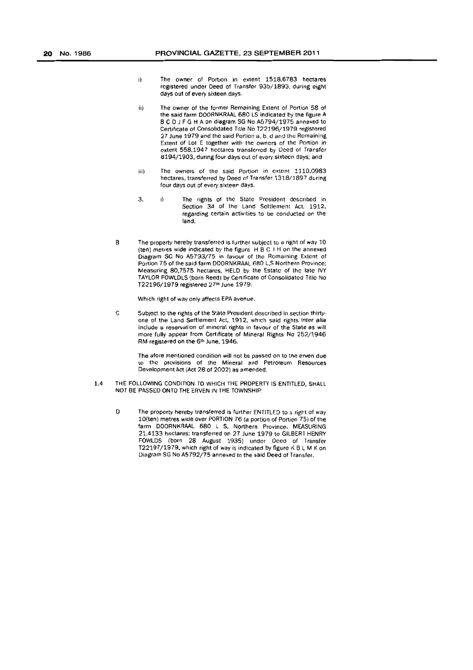- i) The owner of Portion in extent 1518,6783 hectares registered under Deed of Transfer 930/1893. during eight days out of every sixteen days.
- ii) The owner of the former Remaining Extent of Portion 58 of the said farm OOORNKRAAL 680 LS indicated by the figure A BCD J F G H A on diagram SG No A5794/1975 annexed to Certificate of Consolidated Title No T22196/1.979 registered 27 June 1979 and the said Portion a, b, d and the Remaining Extent of Lot E together with the owners of the Portion in extent 558,1947 hectares transferred by Deed of Transfer *8194/1903,* during four days out of every sixteen days; and
- iii) The owners of the said Portion in extent 1110.0983 hectares, transferred by Deed of Transfer 1318/1897 during four days out of every sixteen days.
- 3. i) The rights of the Slate President described in Section 34 of the Land Settlement Act, 1912, regarding certain activities to be conducted on the land.
- B The property hereby transferred is further subject to a right of way 10 (ten) metres wide indicated by the figure  $H B C J H$  on the annexed Diagram SC No A5793/75 in favour of the Remaining Extent of Portion 75 of the said farm DOORNKRAAL 680 L,S Northern Province; Measuring 80,7575 hectares. HELD by the Estate of the late IVY TAYLOR FOWLDLS (born Reed) by Certificate of Consolidalcd Title No *T22196/1979* registered 27th June 1979.

Which right of way only affects EPA avenue.

C Subject to the rights of the State President described in section thirtyone of the Land Settlement Act, 1912, which said rights inter alia include a reservation of mineral rights in favour of the State as will more fully appear from Certificate of Mineral Rights No 252/1946 RM registered on the 6th June, 1946.

> The afore mentioned condition will not be passed on to the erven due ,0 the provisions of the Mineral and Petroleum Resources Development Act (Act 28 of 2002) as amended,

- 1.4 THE FOLLOWING CONDITION TO WHICH THE PROPERTY IS ENTITLED, SHALL NOT BE PASSED ONTO THE ERVEN IN THE TOWNSHIP:
	- D The property hereby transferred is further ENTITLED to a right of way 10(ten) metres wide over PORTION 76 (a portion of Portion 75) of the farm DOORNKRAAL 680 L S, Northern Province, MEASURING 21.4133 hectares; transferred on 27 June 1979 to GILBERT HENRY FOWLDS (born 28 August 1935) under Deed of Transfer T22197/1979, which fight of way is indicated by figure K B L M K on Diagram SG No A5792/75 annexed to the said Deed of Transfer.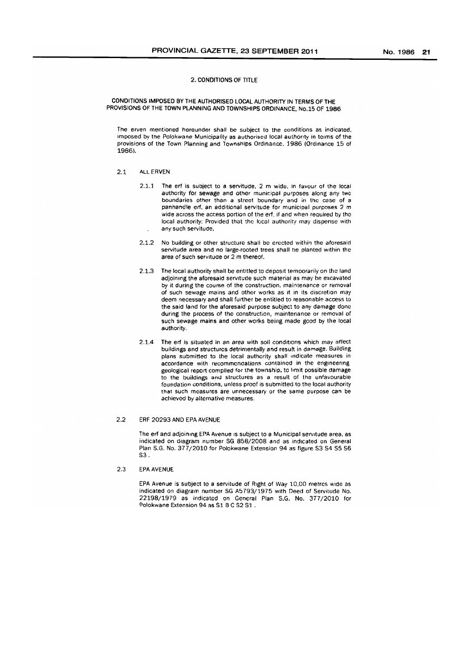#### 2. CONDITIONS OF TITLE

#### CONDITIONS IMPOSED BY THE AUTHORISED LOCAL AUTHORITY IN TERMS OF THE PROVISIONS OF THE TOWN PLANNING AND TOWNSHIPS ORDINANCE. No. 15 OF 1986

The erven mentioned hereunder shall be subject to the conditions as indicated. imposed by the Polokwane Municipality as authorised local authority in terms of the provisions of the Town Planning and Townships Ordinance. 1986 (Ordinance 15 of 1986).

#### 2.1 ALL ERVEN

- 2.1.1 The ert is subject to a servitude. 2 m wide. in favour of the local authority for sewage and other municipal purposes along any two boundaries other than a street boundary and in the case of a panhandle erf. an additional servitude for municipal purposes 2 m wide across the access portion of the ert. if and when required by the local authority: Provided that the local authority may dispense with any such servitude.
- 2.1.2 No building or other structure shall be erected within the aforesaid servitude area and no large-rooted trees shall be planted Within the area of such servitude or 2 m thereof.
- 2.1.3 The local authority shall be entitled to deposit temporarily on the land adjoining the aforesaid servitude such material as may be excavated by it during the course of the construction. mahitenance or removal of such sewage mains and other works as it in its discretion may deem necessary and shall further be entitled to reasonable access to the said land for the aforesaid purpose subject to any damage done during the process of the construction, maintenance or removal of such sewage mains and other works being made gcod by the local authority.
- 2.1.4 The erf is situated in an area with soil conditions which may affect buildings and structures detrimentally and result in damage. Building plans submitted to the local authority shall indicate measures in accordance with recommendations contained in the engineering geological report compiled for the township, to limit possible damage to the buildings and structures as a result of the unfavourable foundation conditions, unless proof is submitted to the local authority that such measures are unnecessary or the same purpose can be achieved by alternative measures.

#### 2.2 ERF 20293 AND EPA AVENUE

The erf and adjoining EPA Avenue IS subject to a Municipal servitude area. as indicated on diagram number SG 858/2008 and as indicated *on* General Plan S.G. No. 377/2010 for Polokwane Extension 94 as figure S3 S4 S5 S6 S3.

2.3 EPA AVENUE

EPA Avenue is subject to a servitude of Right of Way 10,00 metres wide as indicated on diagram number SG A5793/1975 with Deed of Servitude No. 22198/1979 as indicated on General Plan S.G. No. 377/2010 for Polokwane Extension 94 as S1 B C S2 S1.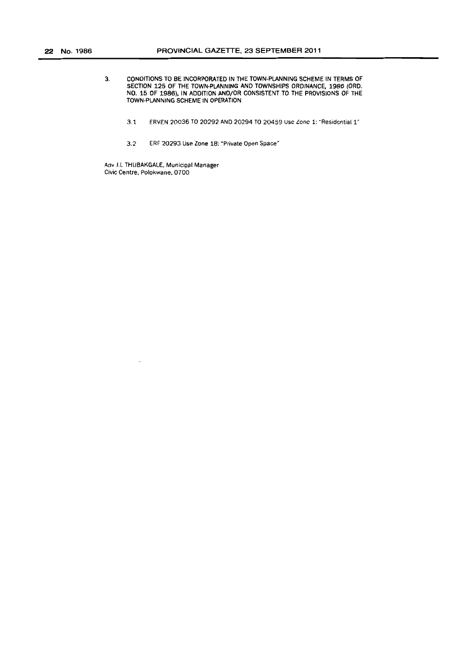- 3. CONDITIONS TO BE INCORPORATED IN THE TOWN·PlANNING SCHEME IN TERMS OF SECTION 125 OF THE TOWN·PLANNING AND TOWNSHIPS ORDINANCE, 1986 (ORO. NO. 15 OF 1986), IN ADDITION AND/OR CONSISTENT TO THE PROVISIONS OF THE TOWN-PLANNING SCHEME IN OPERATION
	- 3.1 ERVEN 20036 TO 20292 AND 20294 TO 20459 Use Lone 1: "Residential l'
	- 3.2 ERF 20293 Use Zone 18: "Private Open Space'

Adv J.L THUBAKGALE. Municipal Manager Civic Centre, Polokwane, 0700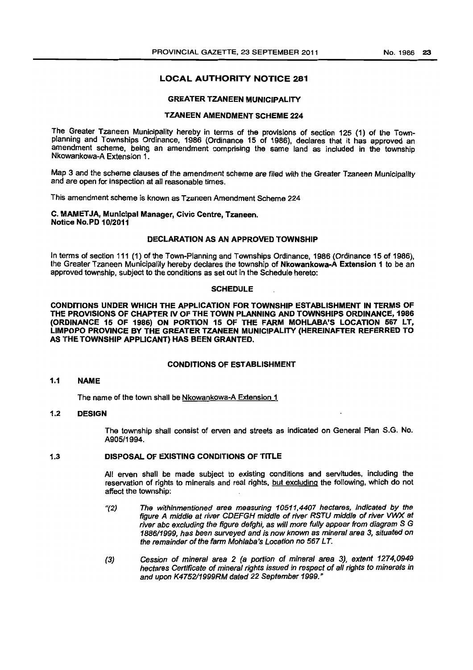## **LOCAL AUTHORITY NOTICE 281**

#### GREATER TZANEEN MUNICIPALITY

## TZANEEN AMENDMENT SCHEME 224

The Greater Tzaneen Municipality hereby in terms of the provisions of section 125 (1) of the Townplanning and Townships Ordinance, 1986 (Ordinance 15 of 1986), declares that it has approved an amendment scheme, being an amendment comprising the same land as included in the township Nkowankowa-A Extension 1.

Map 3 and the scheme clauses of the amendment scheme are filed with the Greater Tzaneen Municipality and are open for inspection at all reasonable times.

This amendment scheme is known as Tzaneen Amendment Scheme 224

#### C. MAMET JA, MunIcipal Manager, Civic Centre, Tzaneen. Notice NO.PD 10/2011

### DECLARATION AS AN APPROVED TOWNSHIP

In terms of section 111 (1) of the Town-Planning and Townships Ordinance, 1986 (Ordinance 15 of 1986), the Greater Tzaneen Municipality hereby declares the township of Nkowankowa-A Extension 1 to be an approved township. subject to the conditions as set out in the Schedule hereto:

#### **SCHEDULE**

CONDITIONS UNDER WHICH THE APPLICATION FOR TOWNSHIP ESTABLISHMENT IN TERMS OF THE PROVISIONS OF CHAPTER IV OF THE TOWN PLANNING AND TOWNSHIPS ORDINANCE, 1986 (ORDINANCE 15 OF 1986) ON PORTION 15 OF THE FARM MOHLABA'S LOCATION 667 LT, LIMPOPO PROVINCE BY THE GREATER TZANEEN MUNICIPALITY (HEREINAFTER REFERRED TO AS THE TOWNSHIP APPLICANT) HAS BEEN GRANTED.

#### CONDITIONS OF ESTABLISHMENT

#### 1.1 NAME

The name of the town shall be Nkowankowa-A Extension 1

## 1.2 DESIGN

The township shall consist of erven and streets as indicated on General Plan S.G. No. A905/1994.

#### 1.3 DISPOSAL OF EXISTING CONDITIONS OF TITLE

All erven shall be made subject to existing conditions and servitudes, including the reservation of rights to minerals and real rights, but excluding the following, which do not affect the township:

- "(2) The withinmentioned area measuring 10511,4407 hectares, indicated by the figure A middle at river CDEFGH middle of river RSTU middle of river VWX at river abc excluding the figure defghi, as will more fully appear from diagram S G 1886/1999, has been surveyed and is now known as mineral area 3, situated on the remainder of the farm Mohlaba's Location no 567 LT.
- (3) Cession of mineral area 2 (a portion of mineral area 3), extent 1274,0949 hectares Certificate of mineral rights issued in respect of all rights to minerals in and upon K475211999RM dated 22 September 1999."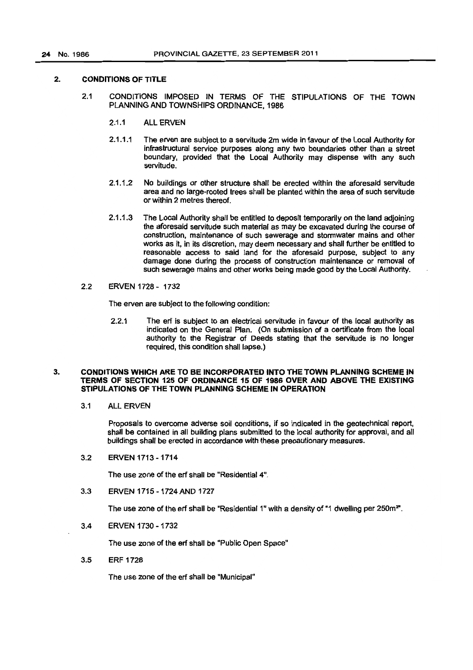## 2. CONDITIONS OF TITLE

- 2.1 CONDITIONS IMPOSED IN TERMS OF THE STIPULATIONS OF THE TOWN PLANNING AND TOWNSHIPS ORDINANCE, 1986
	- 2.1.1 ALL ERVEN
	- 2.1.1.1 The erven are subject to a servitude 2m wide in favour of the Local Authority for infrastructural service purposes along any two boundaries other than a street boundary, provided that the Local Authority may dispense with any such servitude.
	- 2.1.1.2 No buildings or other structure shall be erected within the aforesaid servitude area and no large-rooted trees shall be planted within the area of such servitude or within 2 metres thereof.
	- 2.1.1.3 The Local Authority shall be entitled to deposit temporarily on the land adjoining the aforesaid servitude such material as may be excavated during the course of construction, maintenance of such sewerage and stormwater mains and other works as it, in its discretion, may deem necessary and shall further be entitled to reasonable access to said land for the aforesaid purpose, subject to any damage done during the process of construction maintenance or removal of such sewerage mains and other works being made good by the Local Authority.
- 2.2 ERVEN 1728 1732

The erven are subject to the following condition:

2.2.1 The ert is subject to an electrical servitude in favour of the local authority as indicated on the General Plan. (On submission of a certificate from the local authority to the Registrar of Deeds stating that the servitude is no longer required, this condition shall lapse.)

#### 3. CONDITIONS WHICH ARE TO BE INCORPORATED INTO THE TOWN PLANNING SCHEME IN TERMS OF SECTION 125 OF ORDINANCE 15 OF 1986 OVER AND ABOVE THE EXISTING STIPULATIONS OF THE TOWN PLANNING SCHEME IN OPERATION

3.1 ALL ERVEN

Proposals to overcome adverse soil conditions, if so indicated in the geotechnical report, shall be contained in all building plans submitted to the local authority for approval, and all buildings shall be erected in accordance with these precautionary measures.

3.2 ERVEN 1713 -1714

The use zone of the ert shall be "Residential 4".

3.3 ERVEN 1715 - 1724 AND 1727

The use zone of the erf shall be "Residential 1" with a density of "1 dwelling per 250m<sup>2"</sup>.

3.4 ERVEN 1730 - 1732

The use zone of the ert shall be "Public Open Space"

3.5 ERF 1728

The use zone of the ert shall be "Municipal"